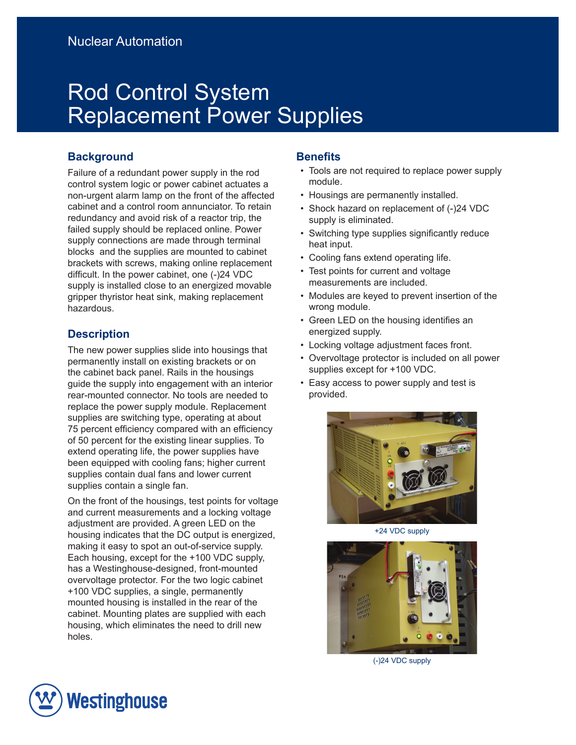# Rod Control System Replacement Power Supplies

## **Background**

Failure of a redundant power supply in the rod control system logic or power cabinet actuates a non-urgent alarm lamp on the front of the affected cabinet and a control room annunciator. To retain redundancy and avoid risk of a reactor trip, the failed supply should be replaced online. Power supply connections are made through terminal blocks and the supplies are mounted to cabinet brackets with screws, making online replacement difficult. In the power cabinet, one (-)24 VDC supply is installed close to an energized movable gripper thyristor heat sink, making replacement hazardous.

# **Description**

The new power supplies slide into housings that permanently install on existing brackets or on the cabinet back panel. Rails in the housings guide the supply into engagement with an interior rear-mounted connector. No tools are needed to replace the power supply module. Replacement supplies are switching type, operating at about 75 percent efficiency compared with an efficiency of 50 percent for the existing linear supplies. To extend operating life, the power supplies have been equipped with cooling fans; higher current supplies contain dual fans and lower current supplies contain a single fan.

On the front of the housings, test points for voltage and current measurements and a locking voltage adjustment are provided. A green LED on the housing indicates that the DC output is energized, making it easy to spot an out-of-service supply. Each housing, except for the +100 VDC supply, has a Westinghouse-designed, front-mounted overvoltage protector. For the two logic cabinet +100 VDC supplies, a single, permanently mounted housing is installed in the rear of the cabinet. Mounting plates are supplied with each housing, which eliminates the need to drill new holes.

## **Benefits**

- Tools are not required to replace power supply module.
- Housings are permanently installed.
- Shock hazard on replacement of (-)24 VDC supply is eliminated.
- Switching type supplies significantly reduce heat input.
- Cooling fans extend operating life.
- Test points for current and voltage measurements are included.
- Modules are keyed to prevent insertion of the wrong module.
- Green LED on the housing identifies an energized supply.
- Locking voltage adjustment faces front.
- Overvoltage protector is included on all power supplies except for +100 VDC.
- Easy access to power supply and test is provided.



+24 VDC supply



(-)24 VDC supply